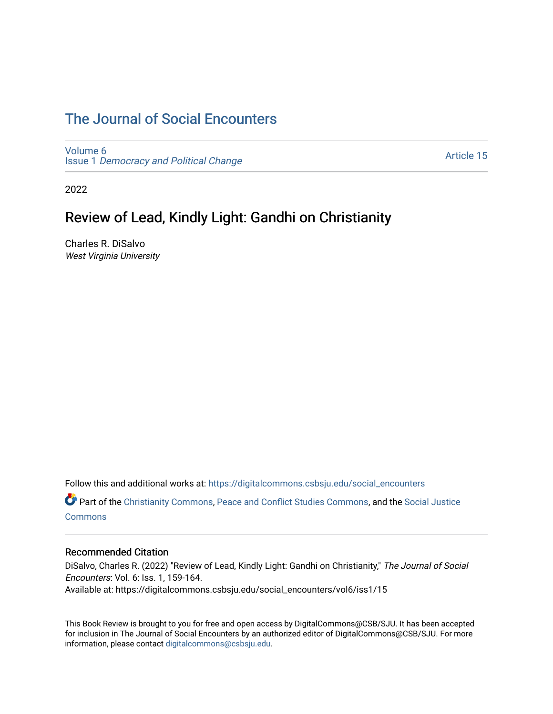# [The Journal of Social Encounters](https://digitalcommons.csbsju.edu/social_encounters)

[Volume 6](https://digitalcommons.csbsju.edu/social_encounters/vol6) Issue 1 [Democracy and Political Change](https://digitalcommons.csbsju.edu/social_encounters/vol6/iss1) 

[Article 15](https://digitalcommons.csbsju.edu/social_encounters/vol6/iss1/15) 

2022

# Review of Lead, Kindly Light: Gandhi on Christianity

Charles R. DiSalvo West Virginia University

Follow this and additional works at: [https://digitalcommons.csbsju.edu/social\\_encounters](https://digitalcommons.csbsju.edu/social_encounters?utm_source=digitalcommons.csbsju.edu%2Fsocial_encounters%2Fvol6%2Fiss1%2F15&utm_medium=PDF&utm_campaign=PDFCoverPages) 

Part of the [Christianity Commons,](http://network.bepress.com/hgg/discipline/1181?utm_source=digitalcommons.csbsju.edu%2Fsocial_encounters%2Fvol6%2Fiss1%2F15&utm_medium=PDF&utm_campaign=PDFCoverPages) [Peace and Conflict Studies Commons](http://network.bepress.com/hgg/discipline/397?utm_source=digitalcommons.csbsju.edu%2Fsocial_encounters%2Fvol6%2Fiss1%2F15&utm_medium=PDF&utm_campaign=PDFCoverPages), and the [Social Justice](http://network.bepress.com/hgg/discipline/1432?utm_source=digitalcommons.csbsju.edu%2Fsocial_encounters%2Fvol6%2Fiss1%2F15&utm_medium=PDF&utm_campaign=PDFCoverPages) **[Commons](http://network.bepress.com/hgg/discipline/1432?utm_source=digitalcommons.csbsju.edu%2Fsocial_encounters%2Fvol6%2Fiss1%2F15&utm_medium=PDF&utm_campaign=PDFCoverPages)** 

#### Recommended Citation

DiSalvo, Charles R. (2022) "Review of Lead, Kindly Light: Gandhi on Christianity," The Journal of Social Encounters: Vol. 6: Iss. 1, 159-164. Available at: https://digitalcommons.csbsju.edu/social\_encounters/vol6/iss1/15

This Book Review is brought to you for free and open access by DigitalCommons@CSB/SJU. It has been accepted for inclusion in The Journal of Social Encounters by an authorized editor of DigitalCommons@CSB/SJU. For more information, please contact [digitalcommons@csbsju.edu.](mailto:digitalcommons@csbsju.edu)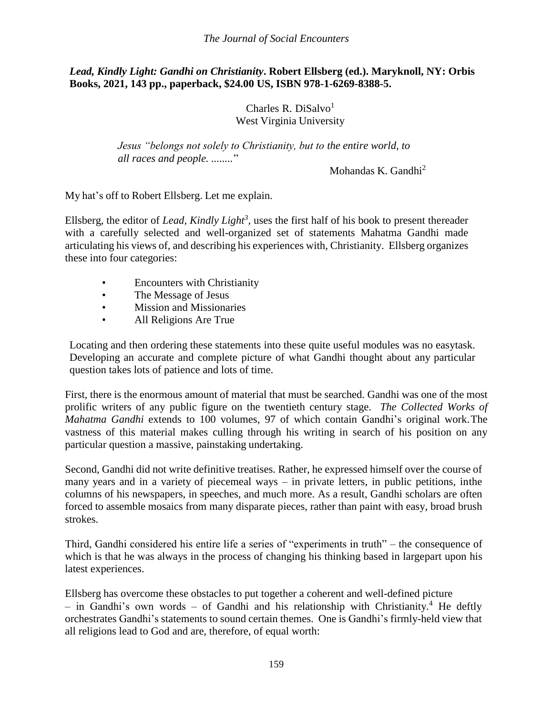*The Journal of Social Encounters*

### *Lead, Kindly Light: Gandhi on Christianity***. Robert Ellsberg (ed.). Maryknoll, NY: Orbis Books, 2021, 143 pp., paperback, \$24.00 US, ISBN 978-1-6269-8388-5.**

Charles R. DiSalvo $<sup>1</sup>$ </sup> West Virginia University

*Jesus "belongs not solely to Christianity, but to the entire world, to all races and people. ........*"

Mohandas K. Gandhi $^2$ 

My hat's off to Robert Ellsberg. Let me explain.

Ellsberg, the editor of *Lead, Kindly Light<sup>3</sup>*, uses the first half of his book to present thereader with a carefully selected and well-organized set of statements Mahatma Gandhi made articulating his views of, and describing his experiences with, Christianity. Ellsberg organizes these into four categories:

- Encounters with Christianity
- The Message of Jesus
- Mission and Missionaries
- All Religions Are True

Locating and then ordering these statements into these quite useful modules was no easytask. Developing an accurate and complete picture of what Gandhi thought about any particular question takes lots of patience and lots of time.

First, there is the enormous amount of material that must be searched. Gandhi was one of the most prolific writers of any public figure on the twentieth century stage. *The Collected Works of Mahatma Gandhi* extends to 100 volumes, 97 of which contain Gandhi's original work.The vastness of this material makes culling through his writing in search of his position on any particular question a massive, painstaking undertaking.

Second, Gandhi did not write definitive treatises. Rather, he expressed himself over the course of many years and in a variety of piecemeal ways – in private letters, in public petitions, inthe columns of his newspapers, in speeches, and much more. As a result, Gandhi scholars are often forced to assemble mosaics from many disparate pieces, rather than paint with easy, broad brush strokes.

Third, Gandhi considered his entire life a series of "experiments in truth" – the consequence of which is that he was always in the process of changing his thinking based in largepart upon his latest experiences.

Ellsberg has overcome these obstacles to put together a coherent and well-defined picture – in Gandhi's own words – of Gandhi and his relationship with Christianity.<sup>4</sup> He deftly orchestrates Gandhi's statements to sound certain themes. One is Gandhi's firmly-held view that all religions lead to God and are, therefore, of equal worth: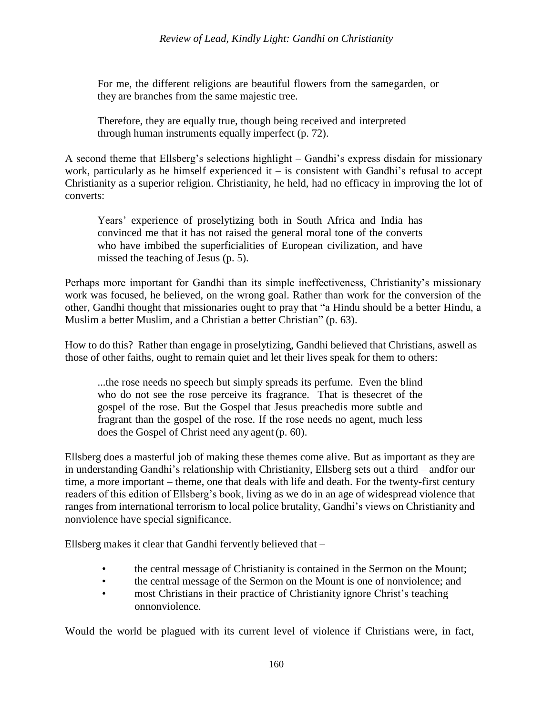For me, the different religions are beautiful flowers from the samegarden, or they are branches from the same majestic tree.

Therefore, they are equally true, though being received and interpreted through human instruments equally imperfect (p. 72).

A second theme that Ellsberg's selections highlight – Gandhi's express disdain for missionary work, particularly as he himself experienced it – is consistent with Gandhi's refusal to accept Christianity as a superior religion. Christianity, he held, had no efficacy in improving the lot of converts:

Years' experience of proselytizing both in South Africa and India has convinced me that it has not raised the general moral tone of the converts who have imbibed the superficialities of European civilization, and have missed the teaching of Jesus (p. 5).

Perhaps more important for Gandhi than its simple ineffectiveness, Christianity's missionary work was focused, he believed, on the wrong goal. Rather than work for the conversion of the other, Gandhi thought that missionaries ought to pray that "a Hindu should be a better Hindu, a Muslim a better Muslim, and a Christian a better Christian" (p. 63).

How to do this? Rather than engage in proselytizing, Gandhi believed that Christians, aswell as those of other faiths, ought to remain quiet and let their lives speak for them to others:

...the rose needs no speech but simply spreads its perfume. Even the blind who do not see the rose perceive its fragrance. That is thesecret of the gospel of the rose. But the Gospel that Jesus preachedis more subtle and fragrant than the gospel of the rose. If the rose needs no agent, much less does the Gospel of Christ need any agent (p. 60).

Ellsberg does a masterful job of making these themes come alive. But as important as they are in understanding Gandhi's relationship with Christianity, Ellsberg sets out a third – andfor our time, a more important – theme, one that deals with life and death. For the twenty-first century readers of this edition of Ellsberg's book, living as we do in an age of widespread violence that ranges from international terrorism to local police brutality, Gandhi's views on Christianity and nonviolence have special significance.

Ellsberg makes it clear that Gandhi fervently believed that –

- the central message of Christianity is contained in the Sermon on the Mount;
- the central message of the Sermon on the Mount is one of nonviolence; and
- most Christians in their practice of Christianity ignore Christ's teaching onnonviolence.

Would the world be plagued with its current level of violence if Christians were, in fact,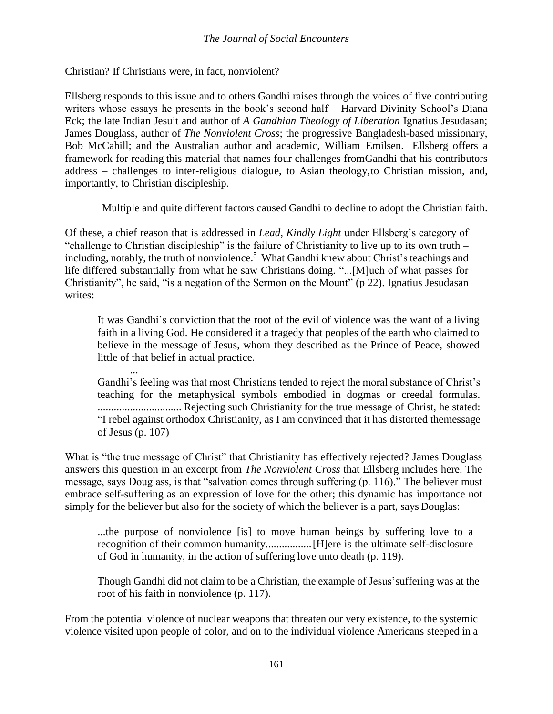Christian? If Christians were, in fact, nonviolent?

Ellsberg responds to this issue and to others Gandhi raises through the voices of five contributing writers whose essays he presents in the book's second half – Harvard Divinity School's Diana Eck; the late Indian Jesuit and author of *A Gandhian Theology of Liberation* Ignatius Jesudasan; James Douglass, author of *The Nonviolent Cross*; the progressive Bangladesh-based missionary, Bob McCahill; and the Australian author and academic, William Emilsen. Ellsberg offers a framework for reading this material that names four challenges fromGandhi that his contributors address – challenges to inter-religious dialogue, to Asian theology,to Christian mission, and, importantly, to Christian discipleship.

Multiple and quite different factors caused Gandhi to decline to adopt the Christian faith.

Of these, a chief reason that is addressed in *Lead, Kindly Light* under Ellsberg's category of "challenge to Christian discipleship" is the failure of Christianity to live up to its own truth – including, notably, the truth of nonviolence.<sup>5</sup> What Gandhi knew about Christ's teachings and life differed substantially from what he saw Christians doing. "...[M]uch of what passes for Christianity", he said, "is a negation of the Sermon on the Mount" (p 22). Ignatius Jesudasan writes:

It was Gandhi's conviction that the root of the evil of violence was the want of a living faith in a living God. He considered it a tragedy that peoples of the earth who claimed to believe in the message of Jesus, whom they described as the Prince of Peace, showed little of that belief in actual practice.

... Gandhi's feeling was that most Christians tended to reject the moral substance of Christ's teaching for the metaphysical symbols embodied in dogmas or creedal formulas. ............................... Rejecting such Christianity for the true message of Christ, he stated: "I rebel against orthodox Christianity, as I am convinced that it has distorted themessage of Jesus (p. 107)

What is "the true message of Christ" that Christianity has effectively rejected? James Douglass answers this question in an excerpt from *The Nonviolent Cross* that Ellsberg includes here. The message, says Douglass, is that "salvation comes through suffering (p. 116)." The believer must embrace self-suffering as an expression of love for the other; this dynamic has importance not simply for the believer but also for the society of which the believer is a part, says Douglas:

...the purpose of nonviolence [is] to move human beings by suffering love to a recognition of their common humanity.................[H]ere is the ultimate self-disclosure of God in humanity, in the action of suffering love unto death (p. 119).

Though Gandhi did not claim to be a Christian, the example of Jesus'suffering was at the root of his faith in nonviolence (p. 117).

From the potential violence of nuclear weapons that threaten our very existence, to the systemic violence visited upon people of color, and on to the individual violence Americans steeped in a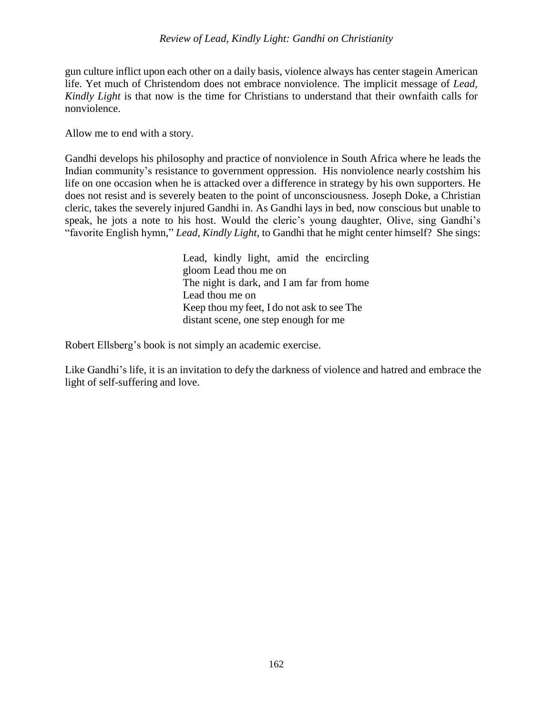### *Review of Lead, Kindly Light: Gandhi on Christianity*

gun culture inflict upon each other on a daily basis, violence always has center stagein American life. Yet much of Christendom does not embrace nonviolence. The implicit message of *Lead, Kindly Light* is that now is the time for Christians to understand that their ownfaith calls for nonviolence.

Allow me to end with a story.

Gandhi develops his philosophy and practice of nonviolence in South Africa where he leads the Indian community's resistance to government oppression. His nonviolence nearly costshim his life on one occasion when he is attacked over a difference in strategy by his own supporters. He does not resist and is severely beaten to the point of unconsciousness. Joseph Doke, a Christian cleric, takes the severely injured Gandhi in. As Gandhi lays in bed, now conscious but unable to speak, he jots a note to his host. Would the cleric's young daughter, Olive, sing Gandhi's "favorite English hymn," *Lead, Kindly Light*, to Gandhi that he might center himself? She sings:

> Lead, kindly light, amid the encircling gloom Lead thou me on The night is dark, and I am far from home Lead thou me on Keep thou my feet, I do not ask to see The distant scene, one step enough for me

Robert Ellsberg's book is not simply an academic exercise.

Like Gandhi's life, it is an invitation to defy the darkness of violence and hatred and embrace the light of self-suffering and love.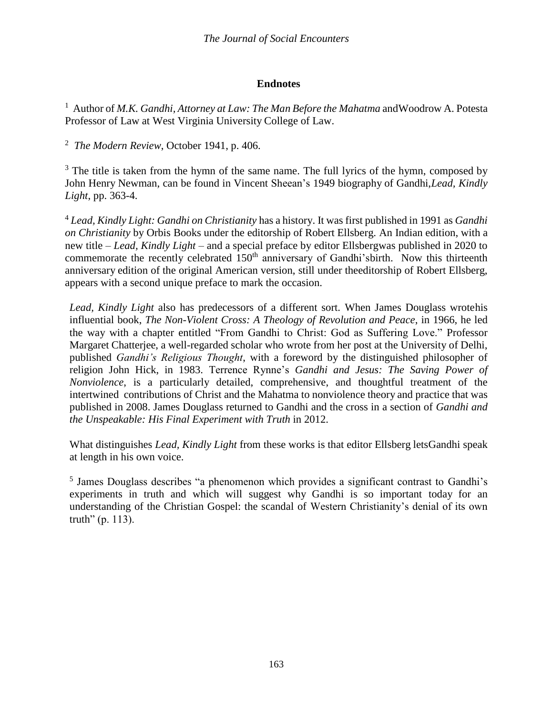## **Endnotes**

<sup>1</sup> Author of *M.K. Gandhi, Attorney at Law: The Man Before the Mahatma* andWoodrow A. Potesta Professor of Law at West Virginia University College of Law.

<sup>2</sup> *The Modern Review*, October 1941, p. 406.

 $3$  The title is taken from the hymn of the same name. The full lyrics of the hymn, composed by John Henry Newman, can be found in Vincent Sheean's 1949 biography of Gandhi,*Lead, Kindly Light*, pp. 363-4.

<sup>4</sup> *Lead, Kindly Light: Gandhi on Christianity* has a history. It was first published in 1991 as *Gandhi on Christianity* by Orbis Books under the editorship of Robert Ellsberg. An Indian edition, with a new title – *Lead, Kindly Light* – and a special preface by editor Ellsbergwas published in 2020 to commemorate the recently celebrated 150<sup>th</sup> anniversary of Gandhi'sbirth. Now this thirteenth anniversary edition of the original American version, still under theeditorship of Robert Ellsberg, appears with a second unique preface to mark the occasion.

*Lead, Kindly Light* also has predecessors of a different sort. When James Douglass wrotehis influential book, *The Non-Violent Cross: A Theology of Revolution and Peace*, in 1966, he led the way with a chapter entitled "From Gandhi to Christ: God as Suffering Love." Professor Margaret Chatterjee, a well-regarded scholar who wrote from her post at the University of Delhi, published *Gandhi's Religious Thought*, with a foreword by the distinguished philosopher of religion John Hick, in 1983. Terrence Rynne's *Gandhi and Jesus: The Saving Power of Nonviolence*, is a particularly detailed, comprehensive, and thoughtful treatment of the intertwined contributions of Christ and the Mahatma to nonviolence theory and practice that was published in 2008. James Douglass returned to Gandhi and the cross in a section of *Gandhi and the Unspeakable: His Final Experiment with Truth* in 2012.

What distinguishes *Lead, Kindly Light* from these works is that editor Ellsberg letsGandhi speak at length in his own voice.

<sup>5</sup> James Douglass describes "a phenomenon which provides a significant contrast to Gandhi's experiments in truth and which will suggest why Gandhi is so important today for an understanding of the Christian Gospel: the scandal of Western Christianity's denial of its own truth" (p. 113).